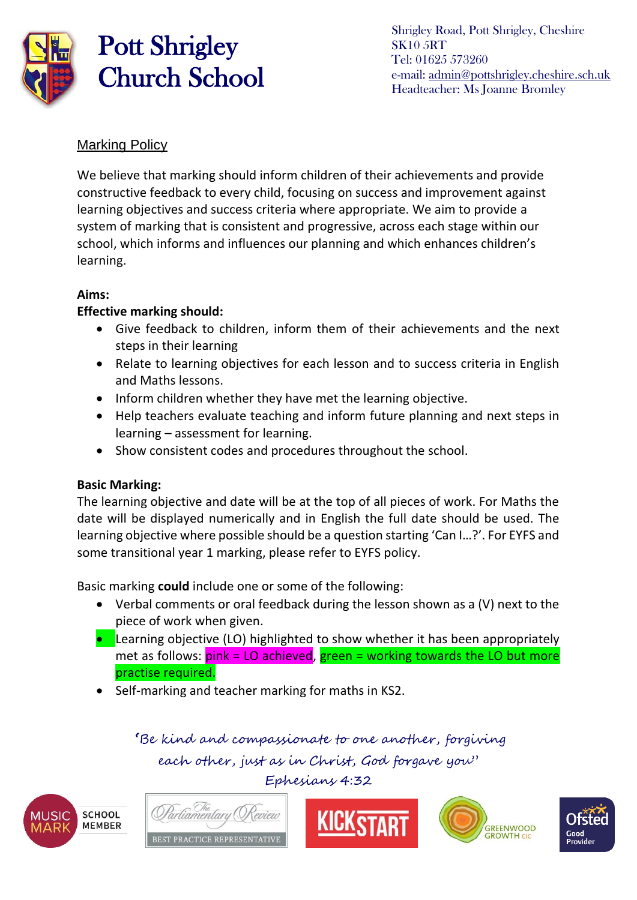

# Pott Shrigley Church School

Shrigley Road, Pott Shrigley, Cheshire SK10 5RT Tel: 01625 573260 e-mail: [admin@pottshrigley.cheshire.sch.uk](mailto:admin@pottshrigley.cheshire.sch.uk) Headteacher: Ms Joanne Bromley

### Marking Policy

We believe that marking should inform children of their achievements and provide constructive feedback to every child, focusing on success and improvement against learning objectives and success criteria where appropriate. We aim to provide a system of marking that is consistent and progressive, across each stage within our school, which informs and influences our planning and which enhances children's learning.

### **Aims:**

### **Effective marking should:**

- Give feedback to children, inform them of their achievements and the next steps in their learning
- Relate to learning objectives for each lesson and to success criteria in English and Maths lessons.
- Inform children whether they have met the learning objective.
- Help teachers evaluate teaching and inform future planning and next steps in learning – assessment for learning.
- Show consistent codes and procedures throughout the school.

### **Basic Marking:**

The learning objective and date will be at the top of all pieces of work. For Maths the date will be displayed numerically and in English the full date should be used. The learning objective where possible should be a question starting 'Can I…?'. For EYFS and some transitional year 1 marking, please refer to EYFS policy.

Basic marking **could** include one or some of the following:

- Verbal comments or oral feedback during the lesson shown as a (V) next to the piece of work when given.
- **•** Learning objective (LO) highlighted to show whether it has been appropriately met as follows: pink = LO achieved, green = working towards the LO but more practise required.
- Self-marking and teacher marking for maths in KS2.

 **'**Be kind and compassionate to one another, forgiving each other, just as in Christ, God forgave you" Ephesians 4:32









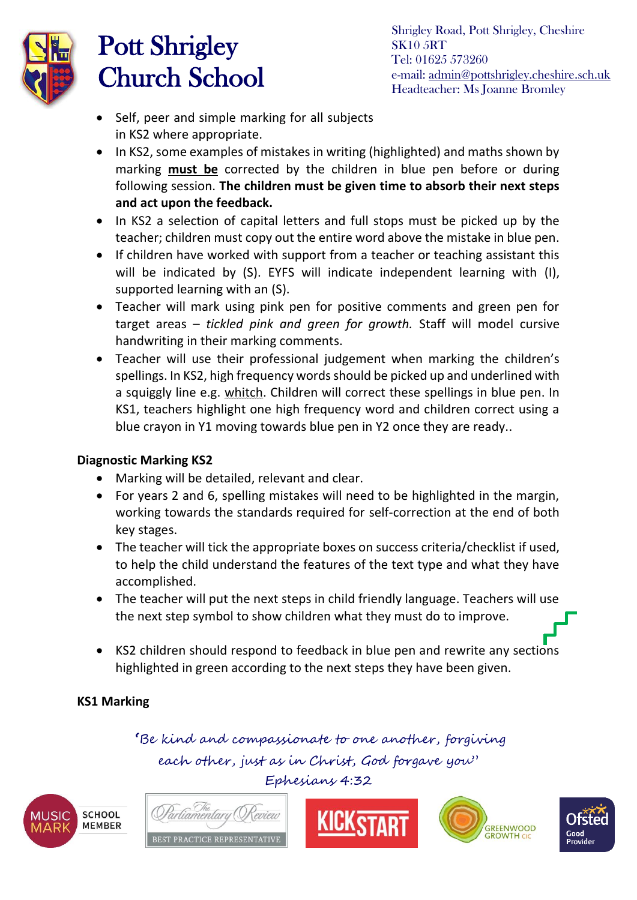

### Pott Shrigley Church School

- Self, peer and simple marking for all subjects in KS2 where appropriate.
- In KS2, some examples of mistakes in writing (highlighted) and maths shown by marking **must be** corrected by the children in blue pen before or during following session. **The children must be given time to absorb their next steps and act upon the feedback.**
- In KS2 a selection of capital letters and full stops must be picked up by the teacher; children must copy out the entire word above the mistake in blue pen.
- If children have worked with support from a teacher or teaching assistant this will be indicated by (S). EYFS will indicate independent learning with (I), supported learning with an (S).
- Teacher will mark using pink pen for positive comments and green pen for target areas – *tickled pink and green for growth.* Staff will model cursive handwriting in their marking comments.
- Teacher will use their professional judgement when marking the children's spellings. In KS2, high frequency words should be picked up and underlined with a squiggly line e.g. whitch. Children will correct these spellings in blue pen. In KS1, teachers highlight one high frequency word and children correct using a blue crayon in Y1 moving towards blue pen in Y2 once they are ready..

#### **Diagnostic Marking KS2**

- Marking will be detailed, relevant and clear.
- For years 2 and 6, spelling mistakes will need to be highlighted in the margin, working towards the standards required for self-correction at the end of both key stages.
- The teacher will tick the appropriate boxes on success criteria/checklist if used, to help the child understand the features of the text type and what they have accomplished.
- The teacher will put the next steps in child friendly language. Teachers will use the next step symbol to show children what they must do to improve.
- KS2 children should respond to feedback in blue pen and rewrite any sections highlighted in green according to the next steps they have been given.

### **KS1 Marking**

 **'**Be kind and compassionate to one another, forgiving each other, just as in Christ, God forgave you" Ephesians 4:32